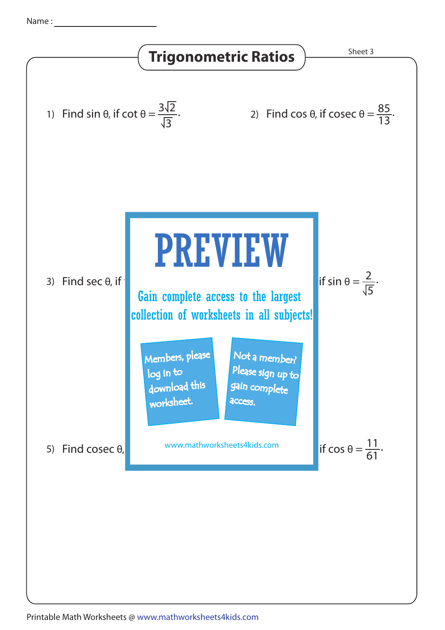